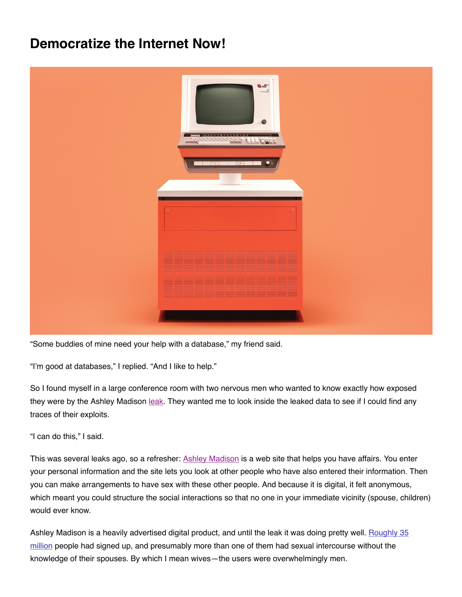## **Democratize the Internet Now!**



"Some buddies of mine need your help with a database," my friend said.

"I'm good at databases," I replied. "And I like to help."

So I found myself in a large conference room with two nervous men who wanted to know exactly how exposed they were by the Ashley Madison **[leak](https://www.wired.com/2015/08/check-loved-one-exposed-ashley-madison-hack/)**. They wanted me to look inside the leaked data to see if I could find any traces of their exploits.

"I can do this," I said.

This was several leaks ago, so a refresher: Ashley [Madison](https://www.ashleymadison.com/) is a web site that helps you have affairs. You enter your personal information and the site lets you look at other people who have also entered their information. Then you can make arrangements to have sex with these other people. And because it is digital, it felt anonymous, which meant you could structure the social interactions so that no one in your immediate vicinity (spouse, children) would ever know.

Ashley Madison is a heavily advertised digital product, and until the leak it was doing pretty well. Roughly 35 million people had signed up, and [presumably](https://www.washingtonpost.com/news/the-intersect/wp/2015/08/25/ashley-madison-faked-female-profiles-to-lure-men-in-hacked-data-suggest/) more than one of them had sexual intercourse without the knowledge of their spouses. By which I mean wives—the users were overwhelmingly men.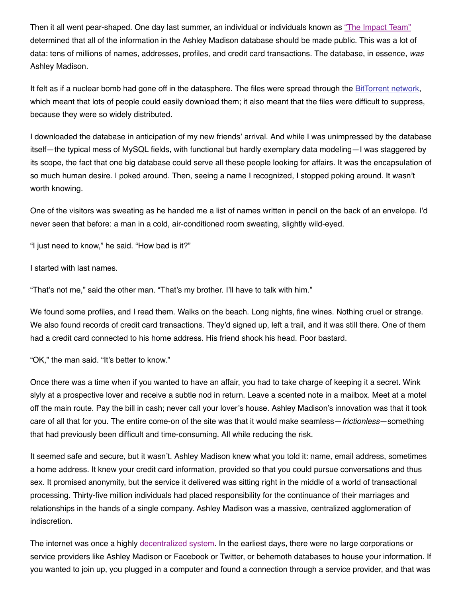Then it all went pear-shaped. One day last summer, an individual or individuals known as "The [Impact](http://www.bbc.com/news/technology-34002053) Team" determined that all of the information in the Ashley Madison database should be made public. This was a lot of data: tens of millions of names, addresses, profiles, and credit card transactions. The database, in essence, *was* Ashley Madison.

It felt as if a nuclear bomb had gone off in the datasphere. The files were spread through the [BitTorrent](http://lifehacker.com/285489/a-beginners-guide-to-bittorrent) network, which meant that lots of people could easily download them; it also meant that the files were difficult to suppress, because they were so widely distributed.

I downloaded the database in anticipation of my new friends' arrival. And while I was unimpressed by the database itself—the typical mess of MySQL fields, with functional but hardly exemplary data modeling—I was staggered by its scope, the fact that one big database could serve all these people looking for affairs. It was the encapsulation of so much human desire. I poked around. Then, seeing a name I recognized, I stopped poking around. It wasn't worth knowing.

One of the visitors was sweating as he handed me a list of names written in pencil on the back of an envelope. I'd never seen that before: a man in a cold, air-conditioned room sweating, slightly wild-eyed.

"I just need to know," he said. "How bad is it?"

I started with last names.

"That's not me," said the other man. "That's my brother. I'll have to talk with him."

We found some profiles, and I read them. Walks on the beach. Long nights, fine wines. Nothing cruel or strange. We also found records of credit card transactions. They'd signed up, left a trail, and it was still there. One of them had a credit card connected to his home address. His friend shook his head. Poor bastard.

"OK," the man said. "It's better to know."

Once there was a time when if you wanted to have an affair, you had to take charge of keeping it a secret. Wink slyly at a prospective lover and receive a subtle nod in return. Leave a scented note in a mailbox. Meet at a motel off the main route. Pay the bill in cash; never call your lover's house. Ashley Madison's innovation was that it took care of all that for you. The entire come-on of the site was that it would make seamless—*frictionless*—something that had previously been difficult and time-consuming. All while reducing the risk.

It seemed safe and secure, but it wasn't. Ashley Madison knew what you told it: name, email address, sometimes a home address. It knew your credit card information, provided so that you could pursue conversations and thus sex. It promised anonymity, but the service it delivered was sitting right in the middle of a world of transactional processing. Thirty-five million individuals had placed responsibility for the continuance of their marriages and relationships in the hands of a single company. Ashley Madison was a massive, centralized agglomeration of indiscretion.

The internet was once a highly [decentralized](http://blog.onename.com/evolution-of-the-internet/) system. In the earliest days, there were no large corporations or service providers like Ashley Madison or Facebook or Twitter, or behemoth databases to house your information. If you wanted to join up, you plugged in a computer and found a connection through a service provider, and that was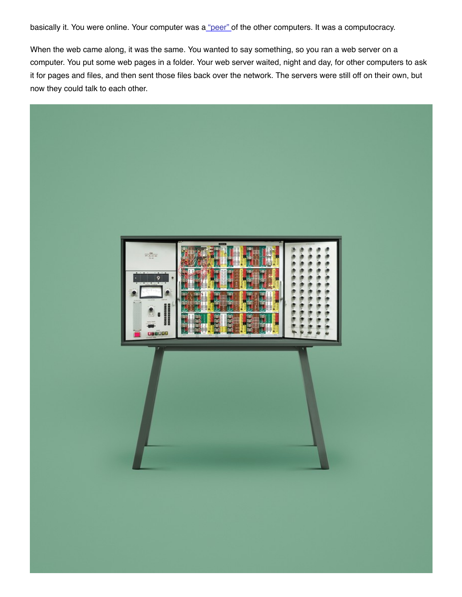basically it. You were online. Your computer was a ["peer"](http://techterms.com/definition/p2p) of the other computers. It was a computocracy.

When the web came along, it was the same. You wanted to say something, so you ran a web server on a computer. You put some web pages in a folder. Your web server waited, night and day, for other computers to ask it for pages and files, and then sent those files back over the network. The servers were still off on their own, but now they could talk to each other.

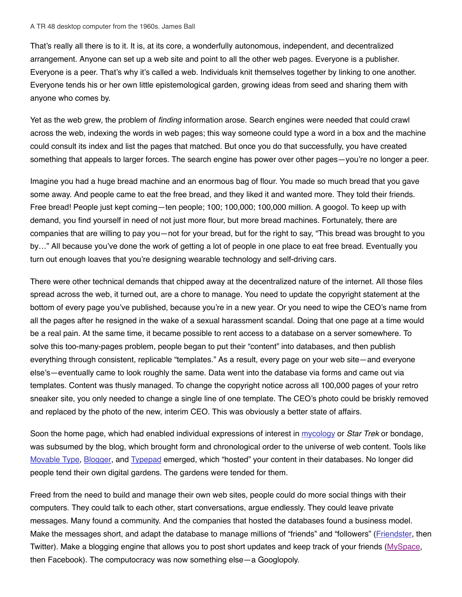That's really all there is to it. It is, at its core, a wonderfully autonomous, independent, and decentralized arrangement. Anyone can set up a web site and point to all the other web pages. Everyone is a publisher. Everyone is a peer. That's why it's called a web. Individuals knit themselves together by linking to one another. Everyone tends his or her own little epistemological garden, growing ideas from seed and sharing them with anyone who comes by.

Yet as the web grew, the problem of *finding* information arose. Search engines were needed that could crawl across the web, indexing the words in web pages; this way someone could type a word in a box and the machine could consult its index and list the pages that matched. But once you do that successfully, you have created something that appeals to larger forces. The search engine has power over other pages—you're no longer a peer.

Imagine you had a huge bread machine and an enormous bag of flour. You made so much bread that you gave some away. And people came to eat the free bread, and they liked it and wanted more. They told their friends. Free bread! People just kept coming—ten people; 100; 100,000; 100,000 million. A googol. To keep up with demand, you find yourself in need of not just more flour, but more bread machines. Fortunately, there are companies that are willing to pay you—not for your bread, but for the right to say, "This bread was brought to you by…" All because you've done the work of getting a lot of people in one place to eat free bread. Eventually you turn out enough loaves that you're designing wearable technology and self-driving cars.

There were other technical demands that chipped away at the decentralized nature of the internet. All those files spread across the web, it turned out, are a chore to manage. You need to update the copyright statement at the bottom of every page you've published, because you're in a new year. Or you need to wipe the CEO's name from all the pages after he resigned in the wake of a sexual harassment scandal. Doing that one page at a time would be a real pain. At the same time, it became possible to rent access to a database on a server somewhere. To solve this too-many-pages problem, people began to put their "content" into databases, and then publish everything through consistent, replicable "templates." As a result, every page on your web site—and everyone else's—eventually came to look roughly the same. Data went into the database via forms and came out via templates. Content was thusly managed. To change the copyright notice across all 100,000 pages of your retro sneaker site, you only needed to change a single line of one template. The CEO's photo could be briskly removed and replaced by the photo of the new, interim CEO. This was obviously a better state of affairs.

Soon the home page, which had enabled individual expressions of interest in [mycology](https://en.wikipedia.org/wiki/Mycology) or *Star Trek* or bondage, was subsumed by the blog, which brought form and chronological order to the universe of web content. Tools like [Movable](https://movabletype.org/) Type, [Blogger](https://accounts.google.com/ServiceLogin?service=blogger&hl=en&passive=1209600&continue=https://www.blogger.com/home), and [Typepad](http://www.typepad.com/) emerged, which "hosted" your content in their databases. No longer did people tend their own digital gardens. The gardens were tended for them.

Freed from the need to build and manage their own web sites, people could do more social things with their computers. They could talk to each other, start conversations, argue endlessly. They could leave private messages. Many found a community. And the companies that hosted the databases found a business model. Make the messages short, and adapt the database to manage millions of "friends" and "followers" ([Friendster,](http://www.friendster.com/) then Twitter). Make a blogging engine that allows you to post short updates and keep track of your friends [\(MySpace,](https://myspace.com/) then Facebook). The computocracy was now something else—a Googlopoly.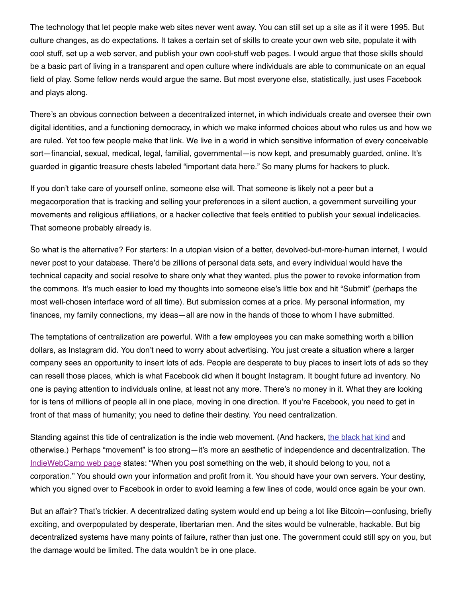The technology that let people make web sites never went away. You can still set up a site as if it were 1995. But culture changes, as do expectations. It takes a certain set of skills to create your own web site, populate it with cool stuff, set up a web server, and publish your own cool-stuff web pages. I would argue that those skills should be a basic part of living in a transparent and open culture where individuals are able to communicate on an equal field of play. Some fellow nerds would argue the same. But most everyone else, statistically, just uses Facebook and plays along.

There's an obvious connection between a decentralized internet, in which individuals create and oversee their own digital identities, and a functioning democracy, in which we make informed choices about who rules us and how we are ruled. Yet too few people make that link. We live in a world in which sensitive information of every conceivable sort—financial, sexual, medical, legal, familial, governmental—is now kept, and presumably guarded, online. It's guarded in gigantic treasure chests labeled "important data here." So many plums for hackers to pluck.

If you don't take care of yourself online, someone else will. That someone is likely not a peer but a megacorporation that is tracking and selling your preferences in a silent auction, a government surveilling your movements and religious affiliations, or a hacker collective that feels entitled to publish your sexual indelicacies. That someone probably already is.

So what is the alternative? For starters: In a utopian vision of a better, devolved-but-more-human internet, I would never post to your database. There'd be zillions of personal data sets, and every individual would have the technical capacity and social resolve to share only what they wanted, plus the power to revoke information from the commons. It's much easier to load my thoughts into someone else's little box and hit "Submit" (perhaps the most well-chosen interface word of all time). But submission comes at a price. My personal information, my finances, my family connections, my ideas—all are now in the hands of those to whom I have submitted.

The temptations of centralization are powerful. With a few employees you can make something worth a billion dollars, as Instagram did. You don't need to worry about advertising. You just create a situation where a larger company sees an opportunity to insert lots of ads. People are desperate to buy places to insert lots of ads so they can resell those places, which is what Facebook did when it bought Instagram. It bought future ad inventory. No one is paying attention to individuals online, at least not any more. There's no money in it. What they are looking for is tens of millions of people all in one place, moving in one direction. If you're Facebook, you need to get in front of that mass of humanity; you need to define their destiny. You need centralization.

Standing against this tide of centralization is the indie web movement. (And hackers, the [black](http://www.pctools.com/security-news/blackhat-hacker/) hat kind and otherwise.) Perhaps "movement" is too strong—it's more an aesthetic of independence and decentralization. The [IndieWebCamp](https://indiewebcamp.com/) web page states: "When you post something on the web, it should belong to you, not a corporation." You should own your information and profit from it. You should have your own servers. Your destiny, which you signed over to Facebook in order to avoid learning a few lines of code, would once again be your own.

But an affair? That's trickier. A decentralized dating system would end up being a lot like Bitcoin—confusing, briefly exciting, and overpopulated by desperate, libertarian men. And the sites would be vulnerable, hackable. But big decentralized systems have many points of failure, rather than just one. The government could still spy on you, but the damage would be limited. The data wouldn't be in one place.